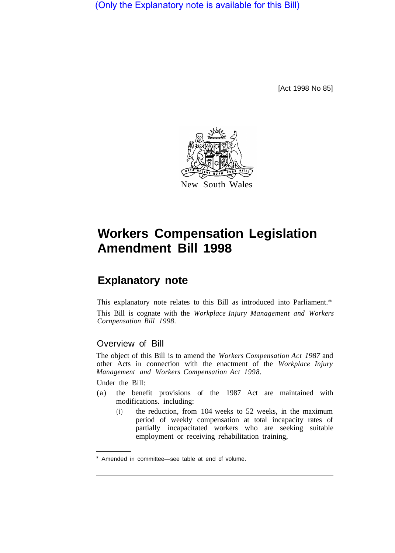(Only the Explanatory note is available for this Bill)

[Act 1998 No 85]



# **Workers Compensation Legislation Amendment Bill 1998**

## **Explanatory note**

This explanatory note relates to this Bill as introduced into Parliament.\* This Bill is cognate with the *Workplace Injury Management and Workers Cornpensation Bill 1998.* 

## Overview of Bill

The object of this Bill is to amend the *Workers Compensation Act 1987* and other Acts in connection with the enactment of the *Workplace Injury Management and Workers Compensation Act 1998.* 

Under the Bill:

- (a) the benefit provisions of the 1987 Act are maintained with modifications. including:
	- (i) the reduction, from 104 weeks to 52 weeks, in the maximum period of weekly compensation at total incapacity rates of partially incapacitated workers who are seeking suitable employment or receiving rehabilitation training,

Amended in committee—see table at end of volume.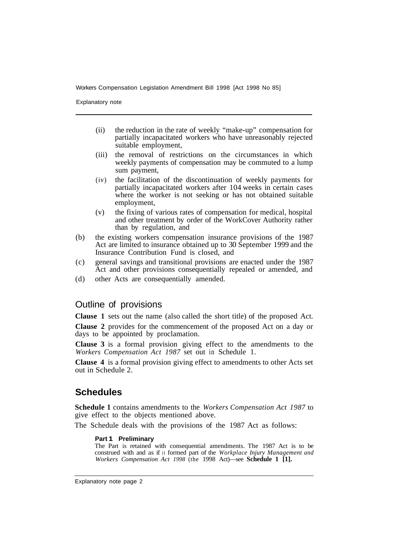Workers Compensation Legislation Amendment Bill 1998 [Act 1998 No 85]

Explanatory note

- (ii) the reduction in the rate of weekly "make-up" compensation for partially incapacitated workers who have unreasonably rejected suitable employment,
- (iii) the removal of restrictions on the circumstances in which weekly payments of compensation may be commuted to a lump sum payment,
- (iv) the facilitation of the discontinuation of weekly payments for partially incapacitated workers after 104 weeks in certain cases where the worker is not seeking or has not obtained suitable employment,
- (v) the fixing of various rates of compensation for medical, hospital and other treatment by order of the WorkCover Authority rather than by regulation, and
- (b) the existing workers compensation insurance provisions of the 1987 Act are limited to insurance obtained up to 30 September 1999 and the Insurance Contribution Fund is closed, and
- (c) general savings and transitional provisions are enacted under the 1987 Act and other provisions consequentially repealed or amended, and
- (d) other Acts are consequentially amended.

## Outline of provisions

**Clause 1** sets out the name (also called the short title) of the proposed Act.

**Clause 2** provides for the commencement of the proposed Act on a day or days to be appointed by proclamation.

**Clause 3** is a formal provision giving effect to the amendments to the *Workers Compensation Act 1987* set out in Schedule 1.

**Clause 4** is a formal provision giving effect to amendments to other Acts set out in Schedule 2.

## **Schedules**

**Schedule 1** contains amendments to the *Workers Compensation Act 1987* to give effect to the objects mentioned above.

The Schedule deals with the provisions of the 1987 Act as follows:

#### **Part 1 Preliminary**

The Part is retained with consequential amendments. The 1987 Act is to be construed with and as if it formed part of the *Workplace Injury Management and Workers Compensation Act 1998* (the 1998 Act)—see **Schedule 1 [1].**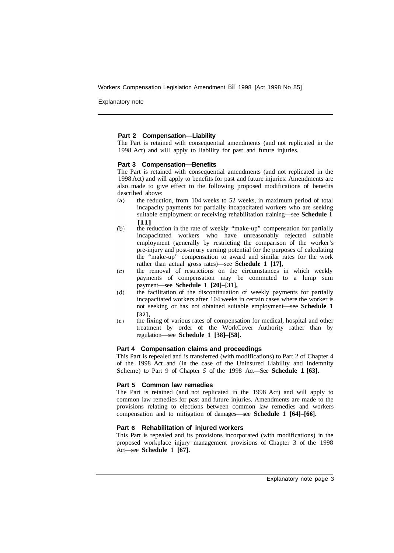Workers Compensation Legislation Amendment Bill 1998 [Act 1998 No 85]

Explanatory note

#### **Part 2 Compensation—Liability**

The Part is retained with consequential amendments (and not replicated in the 1998 Act) and will apply to liability for past and future injuries.

#### **Part 3 Compensation—Benefits**

The Part is retained with consequential amendments (and not replicated in the 1998 Act) and will apply to benefits for past and future injuries. Amendments are also made to give effect to the following proposed modifications of benefits described above:

- the reduction, from 104 weeks to 52 weeks, in maximum period of total  $(a)$ incapacity payments for partially incapacitated workers who are seeking suitable employment or receiving rehabilitation training—see **Schedule 1 [11]**
- $(b)$ the reduction in the rate of weekly "make-up" compensation for partially incapacitated workers who have unreasonably rejected suitable employment (generally by restricting the comparison of the worker's pre-injury and post-injury earning potential for the purposes of calculating the "make-up" compensation to award and similar rates for the work rather than actual gross rates)—see **Schedule 1 [17],**
- $(c)$ the removal of restrictions on the circumstances in which weekly payments of compensation may be commuted to a lump sum payment—see **Schedule 1 [20]–[31],**
- $(d)$ the facilitation of the discontinuation of weekly payments for partially incapacitated workers after 104 weeks in certain cases where the worker is not seeking or has not obtained suitable employment—see **Schedule 1 [32],**
- $(e)$ the fixing of various rates of compensation for medical, hospital and other treatment by order of the WorkCover Authority rather than by regulation—see **Schedule 1 [38]–[58].**

#### **Part 4 Compensation claims and proceedings**

This Part is repealed and is transferred (with modifications) to Part 2 of Chapter 4 of the 1998 Act and (in the case of the Uninsured Liability and Indemnity Scheme) to Part 9 of Chapter *5* of the 1998 Act—See **Schedule 1 [63].** 

#### **Part 5 Common law remedies**

The Part is retained (and not replicated in the 1998 Act) and will apply to common law remedies for past and future injuries. Amendments are made to the provisions relating to elections between common law remedies and workers compensation and to mitigation of damages—see **Schedule 1 [64]–[66].** 

#### **Part 6 Rehabilitation of injured workers**

This Part is repealed and its provisions incorporated (with modifications) in the proposed workplace injury management provisions of Chapter 3 of the 1998 Act—see **Schedule 1 [67].**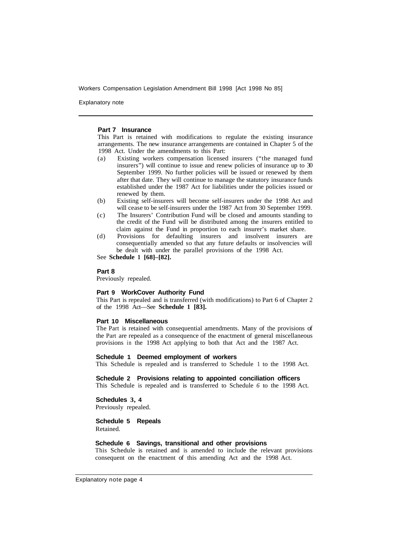Workers Compensation Legislation Amendment Bill 1998 [Act 1998 No 85]

Explanatory note

#### **Part 7 Insurance**

This Part is retained with modifications to regulate the existing insurance arrangements. The new insurance arrangements are contained in Chapter 5 of the 1998 Act. Under the amendments to this Part:

- (a) Existing workers compensation licensed insurers ("the managed fund insurers") will continue to issue and renew policies of insurance up to 30 September 1999. No further policies will be issued or renewed by them after that date. They will continue to manage the statutory insurance funds established under the 1987 Act for liabilities under the policies issued or renewed by them.
- (b) Existing self-insurers will become self-insurers under the 1998 Act and will cease to be self-insurers under the 1987 Act from 30 September 1999.
- (c) The Insurers' Contribution Fund will be closed and amounts standing to the credit of the Fund will be distributed among the insurers entitled to claim against the Fund in proportion to each insurer's market share.
- (d) Provisions for defaulting insurers and insolvent insurers are consequentially amended so that any future defaults or insolvencies will be dealt with under the parallel provisions of the 1998 Act.

See **Schedule 1 [68]–[82].** 

#### **Part 8**

Previously repealed.

#### **Part 9 WorkCover Authority Fund**

This Part is repealed and is transferred (with modifications) to Part 6 of Chapter 2 of the 1998 Act—See **Schedule 1 [83].** 

#### **Part 10 Miscellaneous**

The Part is retained with consequential amendments. Many of the provisions of the Part are repealed as a consequence of the enactment of general miscellaneous provisions in the 1998 Act applying to both that Act and the 1987 Act.

#### **Schedule 1 Deemed employment of workers**

This Schedule is repealed and is transferred to Schedule 1 to the 1998 Act.

#### **Schedule 2 Provisions relating to appointed conciliation officers**

This Schedule is repealed and is transferred to Schedule *6* to the 1998 Act.

#### **Schedules 3, 4**

Previously repealed.

### **Schedule 5 Repeals**

Retained.

#### **Schedule 6 Savings, transitional and other provisions**

This Schedule is retained and is amended to include the relevant provisions consequent on the enactment of this amending Act and the 1998 Act.

Explanatory note page 4